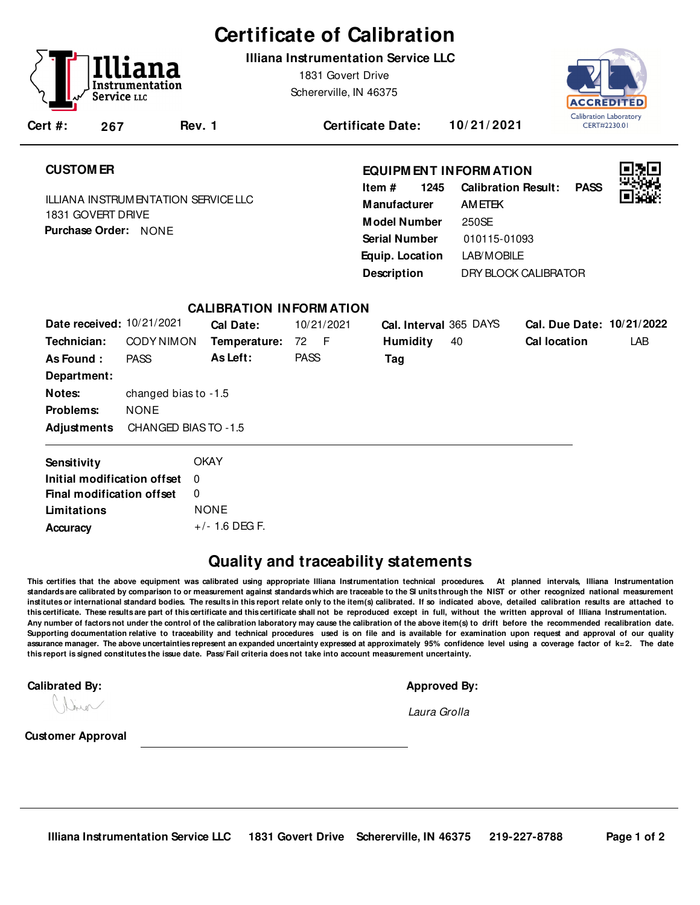# **Certificate of Calibration**

**Illiana Instrumentation Service LLC**

1831 Govert Drive Schererville, IN 46375 Calibration Laboratory CFRT#2230.01

**Cert #: 267**

**Rev. 1 Certificate Date: 10/ 21/ 2021**

# **CUSTOM ER**

ILLIANA INSTRUMENTATION SERVICE LLC 1831 GOVERT DRIVE **Purchase Order:** NONE

## **EQUIPM ENT INFORM ATION**

**1245** LAB/MOBILE **Manufacturer** AMETEK **Model Number** 250SE **Equip. Location Calibration Result: PASS Description Item # Serial Number** 010115-01093 DRY BLOCK CALIBRATOR



| Date received: 10/21/2021   |                      | Cal Date:        | 10/21/2021  | Cal. Interval 365 DAYS |    | Cal. Due Date: 10/21/2022 |     |  |  |
|-----------------------------|----------------------|------------------|-------------|------------------------|----|---------------------------|-----|--|--|
| Technician:                 | CODY NIMON           | Temperature:     | 72 F        | <b>Humidity</b>        | 40 | <b>Cal location</b>       | LAB |  |  |
| As Found:                   | <b>PASS</b>          | As Left:         | <b>PASS</b> | Tag                    |    |                           |     |  |  |
| Department:                 |                      |                  |             |                        |    |                           |     |  |  |
| Notes:                      | changed bias to -1.5 |                  |             |                        |    |                           |     |  |  |
| Problems:                   | <b>NONE</b>          |                  |             |                        |    |                           |     |  |  |
| Adjustments                 | CHANGED BIAS TO -1.5 |                  |             |                        |    |                           |     |  |  |
| Sensitivity                 |                      | <b>OKAY</b>      |             |                        |    |                           |     |  |  |
| Initial modification offset |                      | $\Omega$         |             |                        |    |                           |     |  |  |
| Final modification offset   |                      | 0                |             |                        |    |                           |     |  |  |
| Limitations                 |                      | <b>NONE</b>      |             |                        |    |                           |     |  |  |
| Accuracy                    |                      | $+/- 1.6$ DEG F. |             |                        |    |                           |     |  |  |

**CALIBRATION INFORM ATION**

# **Quality and traceability statements**

**This certifies that the above equipment was calibrated using appropriate Illiana Instrumentation technical procedures. At planned intervals, Illiana Instrumentation** standards are calibrated by comparison to or measurement against standards which are traceable to the SI units through the NIST or other recognized national measurement **institutes or international standard bodies. The results in this report relate only to the item(s) calibrated. If so indicated above, detailed calibration results are attached to this certificate. These results are part of this certificate and this certificate shall not be reproduced except in full, without the written approval of Illiana Instrumentation. Any number of factors not under the control of the calibration laboratory may cause the calibration of the above item(s) to drift before the recommended recalibration date. Supporting documentation relative to traceability and technical procedures used is on file and is available for examination upon request and approval of our quality assurance manager. The above uncertainties represent an expanded uncertainty expressed at approximately 95% confidence level using a coverage factor of k=2. The date this report is signed constitutes the issue date. Pass/ Fail criteria does not take into account measurement uncertainty.**-

#### **Calibrated By: Approved By:**

men

Laura Grolla

**Customer Approval**